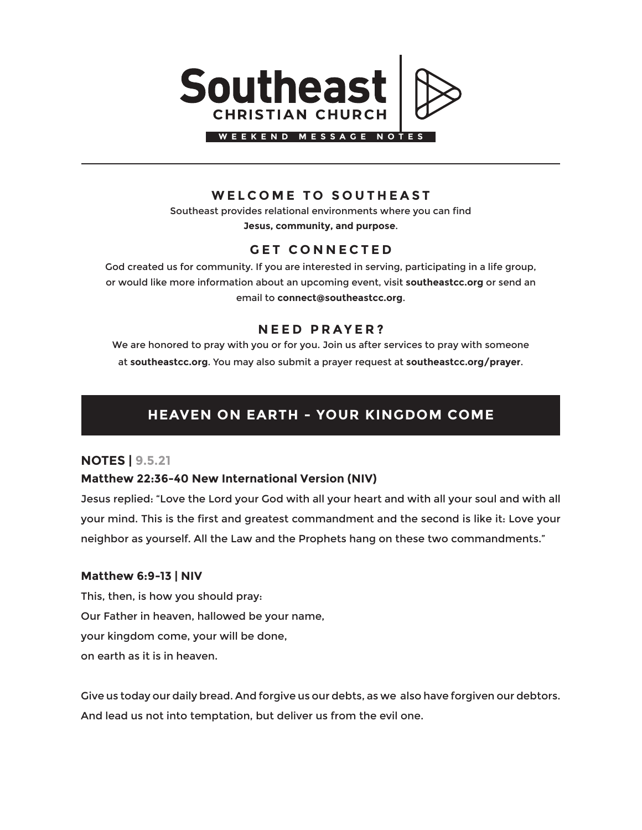

## **WELCOME TO SOUTHEAST**

Southeast provides relational environments where you can find **Jesus, community, and purpose**.

## **GET CONNECTED**

God created us for community. If you are interested in serving, participating in a life group, or would like more information about an upcoming event, visit **southeastcc.org** or send an email to **connect@southeastcc.org**.

## **NEED PRAYER?**

We are honored to pray with you or for you. Join us after services to pray with someone at **southeastcc.org**. You may also submit a prayer request at **southeastcc.org/prayer**.

# **HEAVEN ON EARTH - YOUR KINGDOM COME**

### **NOTES | 9.5.21**

#### **Matthew 22:36-40 New International Version (NIV)**

Jesus replied: "Love the Lord your God with all your heart and with all your soul and with all your mind. This is the first and greatest commandment and the second is like it: Love your neighbor as yourself. All the Law and the Prophets hang on these two commandments."

#### **Matthew 6:9-13 | NIV**

This, then, is how you should pray: Our Father in heaven, hallowed be your name, your kingdom come, your will be done, on earth as it is in heaven.

Give us today our daily bread. And forgive us our debts, as we also have forgiven our debtors. And lead us not into temptation, but deliver us from the evil one.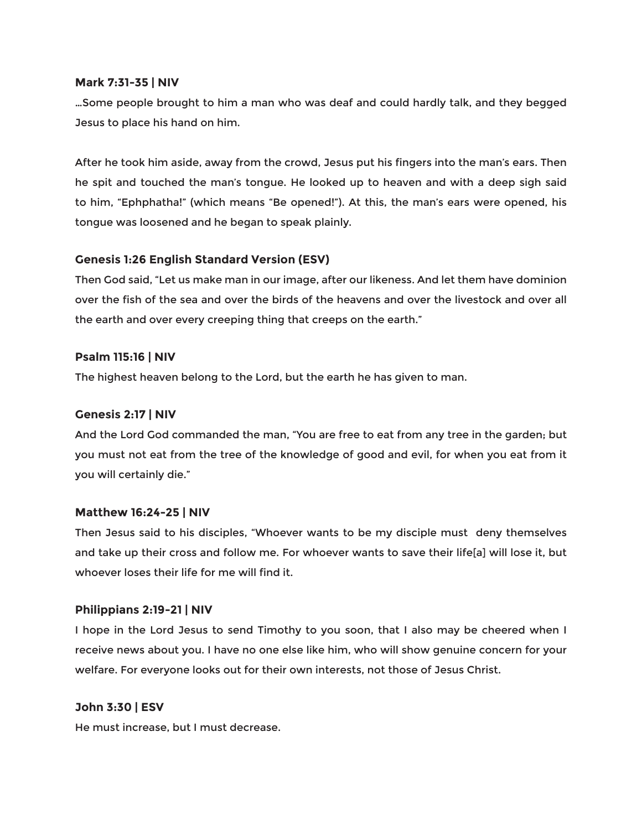#### **Mark 7:31-35 | NIV**

…Some people brought to him a man who was deaf and could hardly talk, and they begged Jesus to place his hand on him.

After he took him aside, away from the crowd, Jesus put his fingers into the man's ears. Then he spit and touched the man's tongue. He looked up to heaven and with a deep sigh said to him, "Ephphatha!" (which means "Be opened!"). At this, the man's ears were opened, his tongue was loosened and he began to speak plainly.

#### **Genesis 1:26 English Standard Version (ESV)**

Then God said, "Let us make man in our image, after our likeness. And let them have dominion over the fish of the sea and over the birds of the heavens and over the livestock and over all the earth and over every creeping thing that creeps on the earth."

#### **Psalm 115:16 | NIV**

The highest heaven belong to the Lord, but the earth he has given to man.

#### **Genesis 2:17 | NIV**

And the Lord God commanded the man, "You are free to eat from any tree in the garden; but you must not eat from the tree of the knowledge of good and evil, for when you eat from it you will certainly die."

#### **Matthew 16:24-25 | NIV**

Then Jesus said to his disciples, "Whoever wants to be my disciple must deny themselves and take up their cross and follow me. For whoever wants to save their life[a] will lose it, but whoever loses their life for me will find it.

#### **Philippians 2:19-21 | NIV**

I hope in the Lord Jesus to send Timothy to you soon, that I also may be cheered when I receive news about you. I have no one else like him, who will show genuine concern for your welfare. For everyone looks out for their own interests, not those of Jesus Christ.

#### **John 3:30 | ESV**

He must increase, but I must decrease.